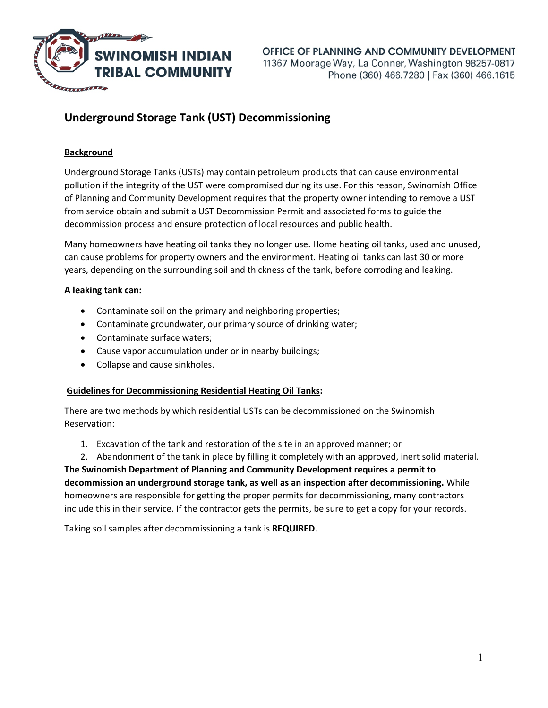

# **Underground Storage Tank (UST) Decommissioning**

## **Background**

Underground Storage Tanks (USTs) may contain petroleum products that can cause environmental pollution if the integrity of the UST were compromised during its use. For this reason, Swinomish Office of Planning and Community Development requires that the property owner intending to remove a UST from service obtain and submit a UST Decommission Permit and associated forms to guide the decommission process and ensure protection of local resources and public health.

Many homeowners have heating oil tanks they no longer use. Home heating oil tanks, used and unused, can cause problems for property owners and the environment. Heating oil tanks can last 30 or more years, depending on the surrounding soil and thickness of the tank, before corroding and leaking.

## **A leaking tank can:**

- Contaminate soil on the primary and neighboring properties;
- Contaminate groundwater, our primary source of drinking water;
- Contaminate surface waters;
- Cause vapor accumulation under or in nearby buildings;
- Collapse and cause sinkholes.

## **Guidelines for Decommissioning Residential Heating Oil Tanks:**

There are two methods by which residential USTs can be decommissioned on the Swinomish Reservation:

- 1. Excavation of the tank and restoration of the site in an approved manner; or
- 2. Abandonment of the tank in place by filling it completely with an approved, inert solid material.

**The Swinomish Department of Planning and Community Development requires a permit to decommission an underground storage tank, as well as an inspection after decommissioning.** While homeowners are responsible for getting the proper permits for decommissioning, many contractors include this in their service. If the contractor gets the permits, be sure to get a copy for your records.

Taking soil samples after decommissioning a tank is **REQUIRED**.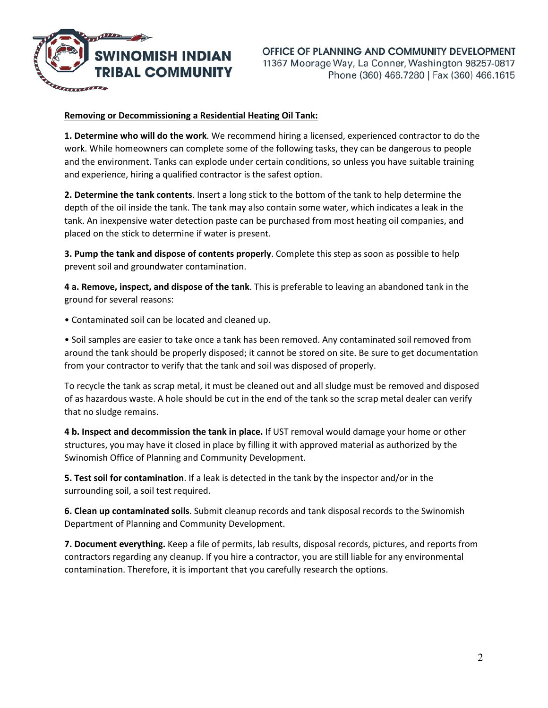

#### **Removing or Decommissioning a Residential Heating Oil Tank:**

**1. Determine who will do the work**. We recommend hiring a licensed, experienced contractor to do the work. While homeowners can complete some of the following tasks, they can be dangerous to people and the environment. Tanks can explode under certain conditions, so unless you have suitable training and experience, hiring a qualified contractor is the safest option.

**2. Determine the tank contents**. Insert a long stick to the bottom of the tank to help determine the depth of the oil inside the tank. The tank may also contain some water, which indicates a leak in the tank. An inexpensive water detection paste can be purchased from most heating oil companies, and placed on the stick to determine if water is present.

**3. Pump the tank and dispose of contents properly**. Complete this step as soon as possible to help prevent soil and groundwater contamination.

**4 a. Remove, inspect, and dispose of the tank**. This is preferable to leaving an abandoned tank in the ground for several reasons:

• Contaminated soil can be located and cleaned up.

• Soil samples are easier to take once a tank has been removed. Any contaminated soil removed from around the tank should be properly disposed; it cannot be stored on site. Be sure to get documentation from your contractor to verify that the tank and soil was disposed of properly.

To recycle the tank as scrap metal, it must be cleaned out and all sludge must be removed and disposed of as hazardous waste. A hole should be cut in the end of the tank so the scrap metal dealer can verify that no sludge remains.

**4 b. Inspect and decommission the tank in place.** If UST removal would damage your home or other structures, you may have it closed in place by filling it with approved material as authorized by the Swinomish Office of Planning and Community Development.

**5. Test soil for contamination**. If a leak is detected in the tank by the inspector and/or in the surrounding soil, a soil test required.

**6. Clean up contaminated soils**. Submit cleanup records and tank disposal records to the Swinomish Department of Planning and Community Development.

**7. Document everything.** Keep a file of permits, lab results, disposal records, pictures, and reports from contractors regarding any cleanup. If you hire a contractor, you are still liable for any environmental contamination. Therefore, it is important that you carefully research the options.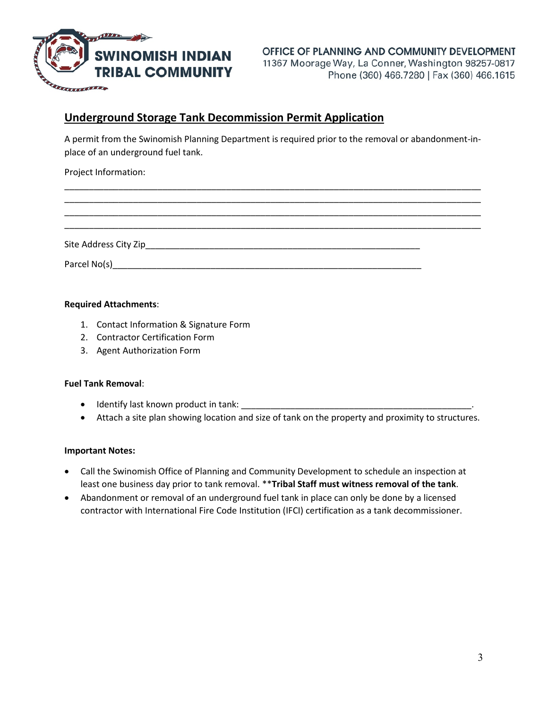

## OFFICE OF PLANNING AND COMMUNITY DEVELOPMENT 11367 Moorage Way, La Conner, Washington 98257-0817 Phone (360) 466.7280 | Fax (360) 466.1615

## **Underground Storage Tank Decommission Permit Application**

A permit from the Swinomish Planning Department is required prior to the removal or abandonment-inplace of an underground fuel tank.

\_\_\_\_\_\_\_\_\_\_\_\_\_\_\_\_\_\_\_\_\_\_\_\_\_\_\_\_\_\_\_\_\_\_\_\_\_\_\_\_\_\_\_\_\_\_\_\_\_\_\_\_\_\_\_\_\_\_\_\_\_\_\_\_\_\_\_\_\_\_\_\_\_\_\_\_\_\_\_\_\_\_\_\_\_ \_\_\_\_\_\_\_\_\_\_\_\_\_\_\_\_\_\_\_\_\_\_\_\_\_\_\_\_\_\_\_\_\_\_\_\_\_\_\_\_\_\_\_\_\_\_\_\_\_\_\_\_\_\_\_\_\_\_\_\_\_\_\_\_\_\_\_\_\_\_\_\_\_\_\_\_\_\_\_\_\_\_\_\_\_ \_\_\_\_\_\_\_\_\_\_\_\_\_\_\_\_\_\_\_\_\_\_\_\_\_\_\_\_\_\_\_\_\_\_\_\_\_\_\_\_\_\_\_\_\_\_\_\_\_\_\_\_\_\_\_\_\_\_\_\_\_\_\_\_\_\_\_\_\_\_\_\_\_\_\_\_\_\_\_\_\_\_\_\_\_ \_\_\_\_\_\_\_\_\_\_\_\_\_\_\_\_\_\_\_\_\_\_\_\_\_\_\_\_\_\_\_\_\_\_\_\_\_\_\_\_\_\_\_\_\_\_\_\_\_\_\_\_\_\_\_\_\_\_\_\_\_\_\_\_\_\_\_\_\_\_\_\_\_\_\_\_\_\_\_\_\_\_\_\_\_

Project Information:

Site Address City Zip\_\_\_\_\_\_\_\_\_\_\_\_\_\_\_\_\_\_\_\_\_\_\_\_\_\_\_\_\_\_\_\_\_\_\_\_\_\_\_\_\_\_\_\_\_\_\_\_\_\_\_\_\_\_\_\_

Parcel No(s)\_\_\_\_\_\_\_\_\_\_\_\_\_\_\_\_\_\_\_\_\_\_\_\_\_\_\_\_\_\_\_\_\_\_\_\_\_\_\_\_\_\_\_\_\_\_\_\_\_\_\_\_\_\_\_\_\_\_\_\_\_\_\_

#### **Required Attachments**:

- 1. Contact Information & Signature Form
- 2. Contractor Certification Form
- 3. Agent Authorization Form

#### **Fuel Tank Removal**:

- Identify last known product in tank: \_\_\_\_\_\_\_\_\_\_\_\_\_\_\_\_\_\_\_\_\_\_\_\_\_\_\_\_\_\_\_\_\_\_\_\_\_\_\_\_\_\_\_\_\_\_\_.
- Attach a site plan showing location and size of tank on the property and proximity to structures.

#### **Important Notes:**

- Call the Swinomish Office of Planning and Community Development to schedule an inspection at least one business day prior to tank removal. \*\***Tribal Staff must witness removal of the tank**.
- Abandonment or removal of an underground fuel tank in place can only be done by a licensed contractor with International Fire Code Institution (IFCI) certification as a tank decommissioner.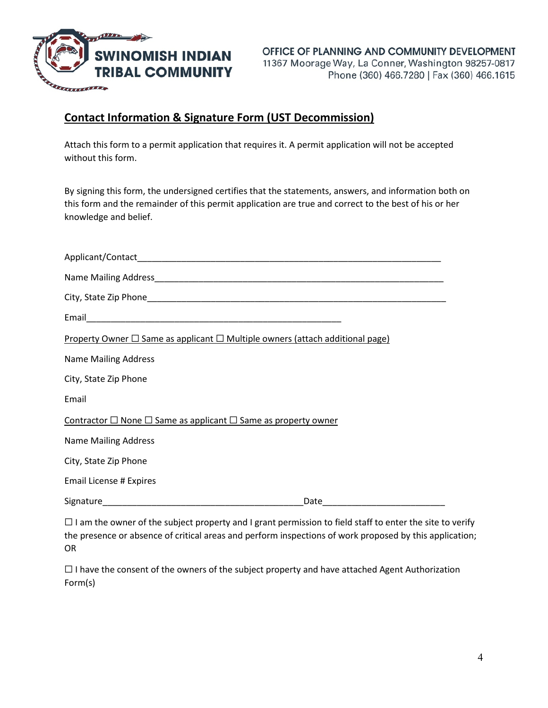

## **Contact Information & Signature Form (UST Decommission)**

Attach this form to a permit application that requires it. A permit application will not be accepted without this form.

By signing this form, the undersigned certifies that the statements, answers, and information both on this form and the remainder of this permit application are true and correct to the best of his or her knowledge and belief.

| <b>Property Owner <math>\square</math> Same as applicant <math>\square</math> Multiple owners (attach additional page)</b> |  |  |
|----------------------------------------------------------------------------------------------------------------------------|--|--|
| <b>Name Mailing Address</b>                                                                                                |  |  |
| City, State Zip Phone                                                                                                      |  |  |
| Email                                                                                                                      |  |  |
| Contractor $\Box$ None $\Box$ Same as applicant $\Box$ Same as property owner                                              |  |  |
| <b>Name Mailing Address</b>                                                                                                |  |  |
| City, State Zip Phone                                                                                                      |  |  |
| <b>Email License # Expires</b>                                                                                             |  |  |
|                                                                                                                            |  |  |
| $\Box$ Lam the quiner of the subject preparty and Larent permission to field staff to enter the site to $\mu$              |  |  |

 $\sqcup$  I am the owner of the subject property and I grant permission to field staff to enter the site to verify the presence or absence of critical areas and perform inspections of work proposed by this application; OR

☐ I have the consent of the owners of the subject property and have attached Agent Authorization Form(s)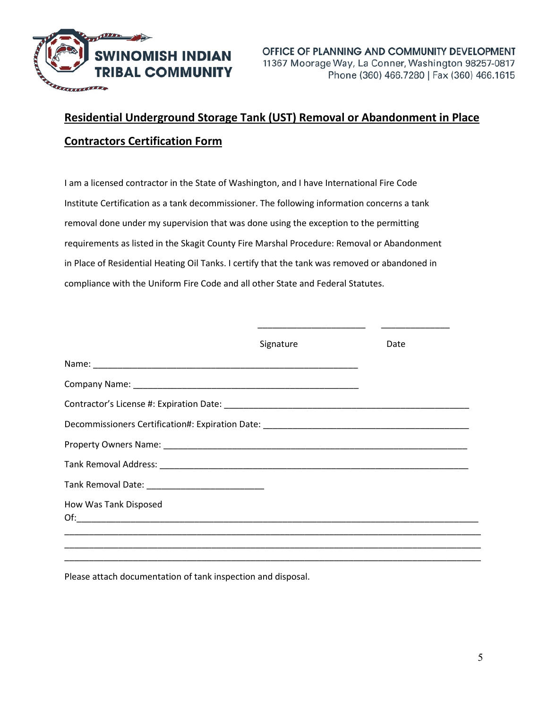

# **Residential Underground Storage Tank (UST) Removal or Abandonment in Place Contractors Certification Form**

I am a licensed contractor in the State of Washington, and I have International Fire Code Institute Certification as a tank decommissioner. The following information concerns a tank removal done under my supervision that was done using the exception to the permitting requirements as listed in the Skagit County Fire Marshal Procedure: Removal or Abandonment in Place of Residential Heating Oil Tanks. I certify that the tank was removed or abandoned in compliance with the Uniform Fire Code and all other State and Federal Statutes.

|                       | Signature | Date |
|-----------------------|-----------|------|
|                       |           |      |
|                       |           |      |
|                       |           |      |
|                       |           |      |
|                       |           |      |
|                       |           |      |
|                       |           |      |
| How Was Tank Disposed |           |      |
|                       |           |      |
|                       |           |      |

Please attach documentation of tank inspection and disposal.